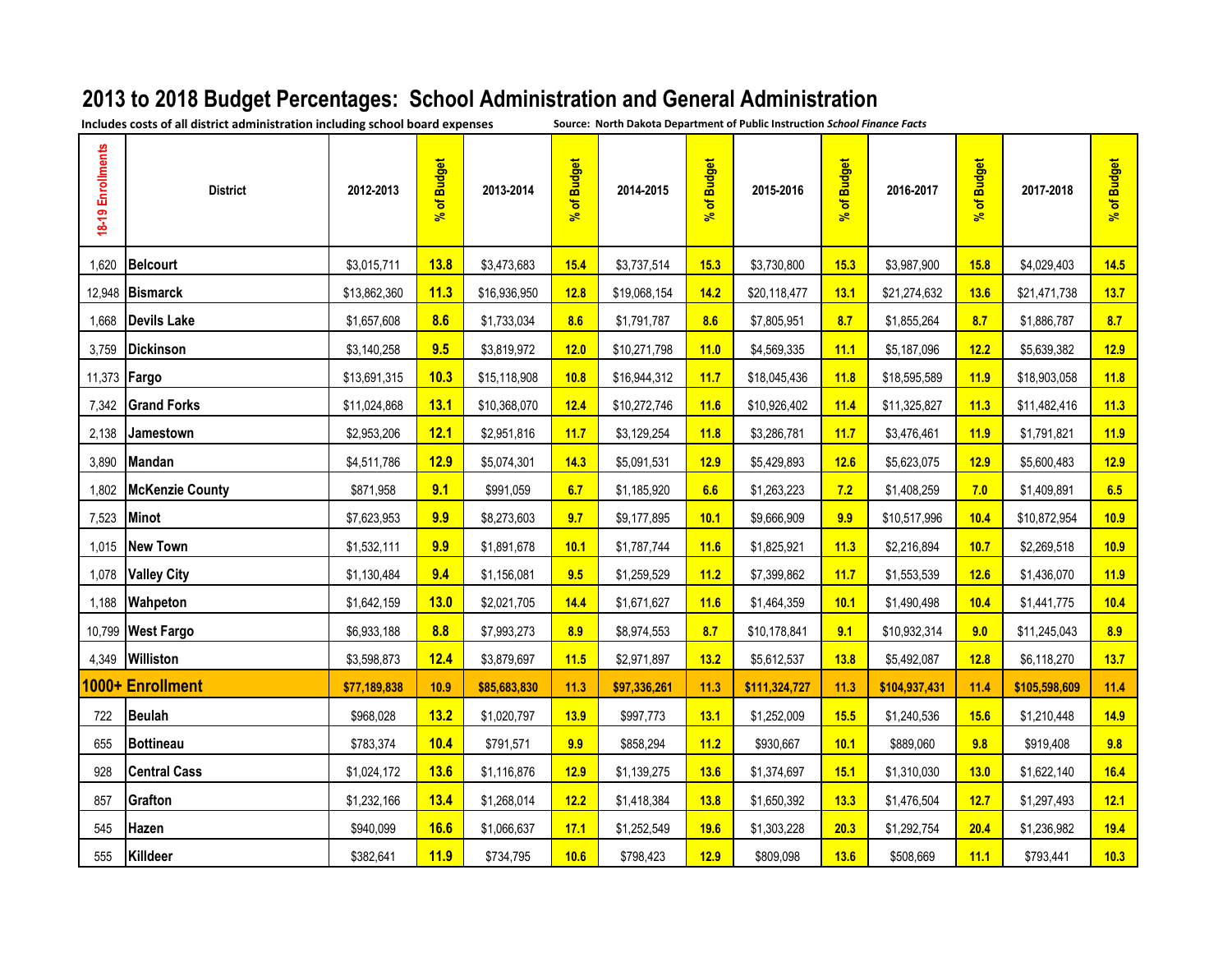## **2013 to 2018 Budget Percentages: School Administration and General Administration**

**Includes costs of all district administration including school board expenses Source: North Dakota Department of Public Instruction** *School Finance Facts*

| 18-19 Enrollments   | <b>District</b>        | 2012-2013    | % of Budget | 2013-2014    | % of Budget | 2014-2015    | % of Budget | 2015-2016     | % of Budget | 2016-2017     | % of Budget | 2017-2018     | % of Budget |
|---------------------|------------------------|--------------|-------------|--------------|-------------|--------------|-------------|---------------|-------------|---------------|-------------|---------------|-------------|
| 1,620               | <b>IBelcourt</b>       | \$3,015,711  | 13.8        | \$3,473,683  | 15.4        | \$3,737,514  | 15.3        | \$3,730,800   | 15.3        | \$3,987,900   | 15.8        | \$4,029,403   | 14.5        |
| 12,948              | <b>Bismarck</b>        | \$13,862,360 | 11.3        | \$16,936,950 | 12.8        | \$19,068,154 | 14.2        | \$20,118,477  | 13.1        | \$21,274,632  | 13.6        | \$21,471,738  | 13.7        |
| 1,668               | <b>Devils Lake</b>     | \$1,657,608  | 8.6         | \$1,733,034  | 8.6         | \$1,791,787  | 8.6         | \$7,805,951   | 8.7         | \$1,855,264   | 8.7         | \$1,886,787   | 8.7         |
| 3,759               | <b>Dickinson</b>       | \$3,140,258  | 9.5         | \$3,819,972  | 12.0        | \$10,271,798 | 11.0        | \$4,569,335   | 11.1        | \$5,187,096   | 12.2        | \$5,639,382   | 12.9        |
| 11,373 <b>Fargo</b> |                        | \$13,691,315 | 10.3        | \$15,118,908 | 10.8        | \$16,944,312 | 11.7        | \$18,045,436  | 11.8        | \$18,595,589  | 11.9        | \$18,903,058  | 11.8        |
|                     | 7,342 Grand Forks      | \$11,024,868 | 13.1        | \$10,368,070 | 12.4        | \$10,272,746 | 11.6        | \$10,926,402  | 11.4        | \$11,325,827  | 11.3        | \$11,482,416  | 11.3        |
| 2,138               | Jamestown              | \$2,953,206  | 12.1        | \$2,951,816  | 11.7        | \$3,129,254  | 11.8        | \$3,286,781   | 11.7        | \$3,476,461   | 11.9        | \$1,791,821   | 11.9        |
| 3,890               | Mandan                 | \$4,511,786  | 12.9        | \$5,074,301  | 14.3        | \$5,091,531  | 12.9        | \$5,429,893   | 12.6        | \$5,623,075   | 12.9        | \$5,600,483   | 12.9        |
| 1,802               | <b>McKenzie County</b> | \$871,958    | 9.1         | \$991,059    | 6.7         | \$1,185,920  | 6.6         | \$1,263,223   | 7.2         | \$1,408,259   | 7.0         | \$1,409,891   | 6.5         |
| 7,523               | Minot                  | \$7,623,953  | 9.9         | \$8,273,603  | 9.7         | \$9,177,895  | 10.1        | \$9,666,909   | 9.9         | \$10,517,996  | 10.4        | \$10,872,954  | 10.9        |
| 1,015               | <b>New Town</b>        | \$1,532,111  | 9.9         | \$1,891,678  | 10.1        | \$1,787,744  | 11.6        | \$1,825,921   | 11.3        | \$2,216,894   | 10.7        | \$2,269,518   | 10.9        |
| 1,078               | <b>Valley City</b>     | \$1,130,484  | 9.4         | \$1,156,081  | 9.5         | \$1,259,529  | 11.2        | \$7,399,862   | 11.7        | \$1,553,539   | 12.6        | \$1,436,070   | 11.9        |
|                     | 1,188 Wahpeton         | \$1,642,159  | 13.0        | \$2,021,705  | 14.4        | \$1,671,627  | 11.6        | \$1,464,359   | 10.1        | \$1,490,498   | 10.4        | \$1,441,775   | 10.4        |
|                     | 10,799 West Fargo      | \$6,933,188  | 8.8         | \$7,993,273  | 8.9         | \$8,974,553  | 8.7         | \$10,178,841  | 9.1         | \$10,932,314  | 9.0         | \$11,245,043  | 8.9         |
| 4,349               | Williston              | \$3,598,873  | 12.4        | \$3,879,697  | 11.5        | \$2,971,897  | 13.2        | \$5,612,537   | 13.8        | \$5,492,087   | 12.8        | \$6,118,270   | 13.7        |
|                     | 1000+ Enrollment       | \$77,189,838 | 10.9        | \$85,683,830 | 11.3        | \$97,336,261 | 11.3        | \$111,324,727 | 11.3        | \$104,937,431 | 11.4        | \$105,598,609 | 11.4        |
| 722                 | Beulah                 | \$968,028    | 13.2        | \$1,020,797  | 13.9        | \$997,773    | 13.1        | \$1,252,009   | 15.5        | \$1,240,536   | 15.6        | \$1,210,448   | 14.9        |
| 655                 | <b>Bottineau</b>       | \$783,374    | 10.4        | \$791,571    | 9.9         | \$858,294    | 11.2        | \$930,667     | 10.1        | \$889,060     | 9.8         | \$919,408     | 9.8         |
| 928                 | <b>Central Cass</b>    | \$1,024,172  | 13.6        | \$1,116,876  | 12.9        | \$1,139,275  | 13.6        | \$1,374,697   | 15.1        | \$1,310,030   | 13.0        | \$1,622,140   | 16.4        |
| 857                 | Grafton                | \$1,232,166  | 13.4        | \$1,268,014  | 12.2        | \$1,418,384  | 13.8        | \$1,650,392   | 13.3        | \$1,476,504   | 12.7        | \$1,297,493   | 12.1        |
| 545                 | Hazen                  | \$940,099    | 16.6        | \$1,066,637  | 17.1        | \$1,252,549  | 19.6        | \$1,303,228   | 20.3        | \$1,292,754   | 20.4        | \$1,236,982   | 19.4        |
| 555                 | Killdeer               | \$382,641    | 11.9        | \$734,795    | 10.6        | \$798,423    | 12.9        | \$809,098     | 13.6        | \$508,669     | 11.1        | \$793,441     | 10.3        |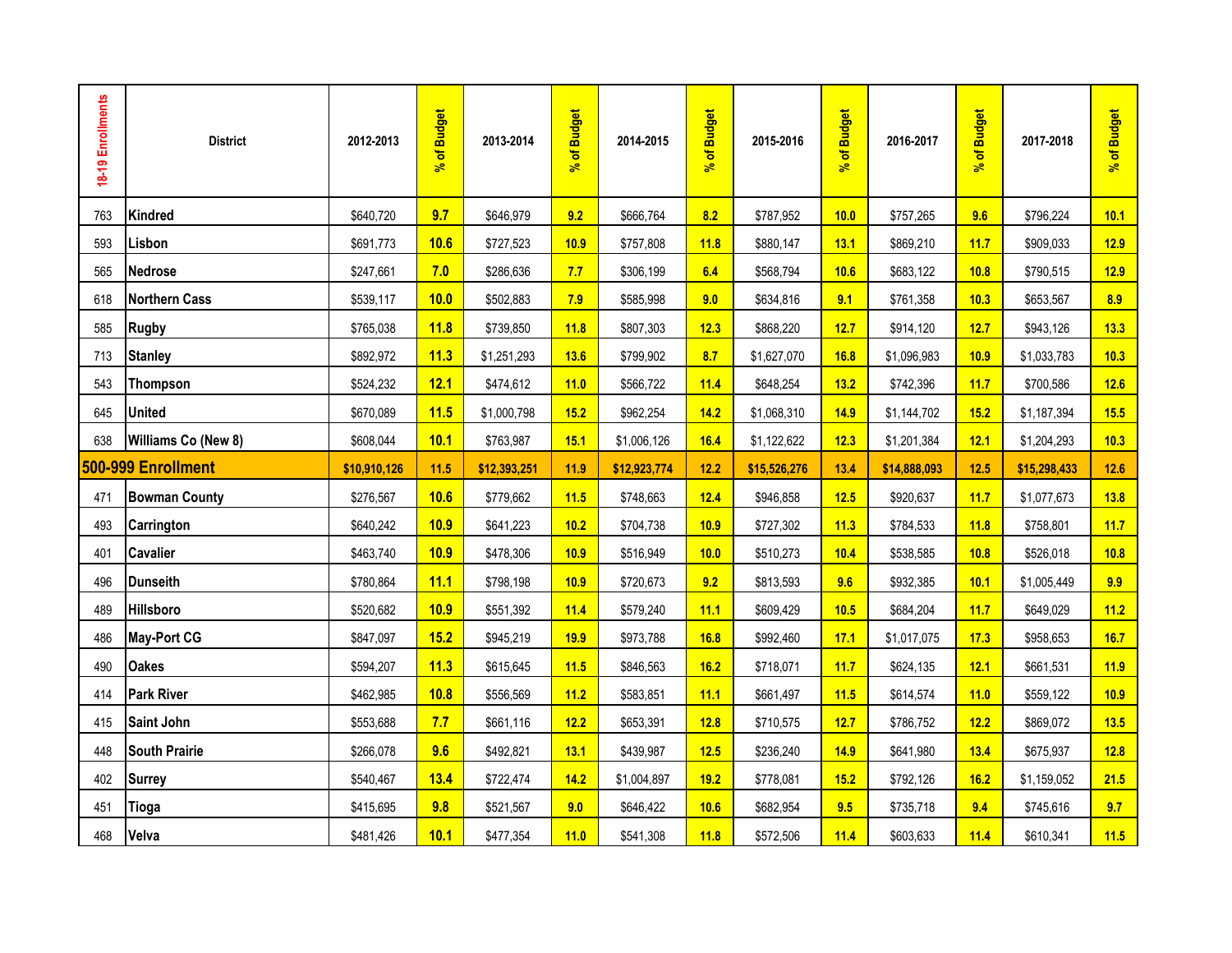| 18-19 Enrollments | <b>District</b>      | 2012-2013    | % of Budget | 2013-2014    | of Budget<br>$\mathbf{r}_\mathbf{c}$ | 2014-2015    | % of Budget | 2015-2016    | % of Budget | 2016-2017    | % of Budget | 2017-2018    | % of Budget |
|-------------------|----------------------|--------------|-------------|--------------|--------------------------------------|--------------|-------------|--------------|-------------|--------------|-------------|--------------|-------------|
| 763               | Kindred              | \$640,720    | 9.7         | \$646,979    | 9.2                                  | \$666,764    | 8.2         | \$787,952    | 10.0        | \$757,265    | 9.6         | \$796,224    | 10.1        |
| 593               | Lisbon               | \$691,773    | 10.6        | \$727,523    | 10.9                                 | \$757,808    | 11.8        | \$880,147    | 13.1        | \$869,210    | 11.7        | \$909,033    | 12.9        |
| 565               | <b>Nedrose</b>       | \$247,661    | 7.0         | \$286,636    | 7.7                                  | \$306,199    | 6.4         | \$568,794    | 10.6        | \$683,122    | 10.8        | \$790,515    | 12.9        |
| 618               | <b>Northern Cass</b> | \$539,117    | 10.0        | \$502,883    | 7.9                                  | \$585,998    | 9.0         | \$634,816    | 9.1         | \$761,358    | 10.3        | \$653,567    | 8.9         |
| 585               | <b>Rugby</b>         | \$765,038    | 11.8        | \$739,850    | 11.8                                 | \$807,303    | 12.3        | \$868,220    | 12.7        | \$914,120    | 12.7        | \$943,126    | 13.3        |
| 713               | <b>Stanley</b>       | \$892,972    | 11.3        | \$1,251,293  | 13.6                                 | \$799,902    | 8.7         | \$1,627,070  | 16.8        | \$1,096,983  | 10.9        | \$1,033,783  | 10.3        |
| 543               | <b>Thompson</b>      | \$524,232    | 12.1        | \$474,612    | 11.0                                 | \$566,722    | 11.4        | \$648,254    | 13.2        | \$742,396    | 11.7        | \$700,586    | 12.6        |
| 645               | <b>United</b>        | \$670,089    | 11.5        | \$1,000,798  | 15.2                                 | \$962,254    | 14.2        | \$1,068,310  | 14.9        | \$1,144,702  | 15.2        | \$1,187,394  | 15.5        |
| 638               | Williams Co (New 8)  | \$608,044    | 10.1        | \$763,987    | 15.1                                 | \$1,006,126  | 16.4        | \$1,122,622  | 12.3        | \$1,201,384  | 12.1        | \$1,204,293  | 10.3        |
|                   | 500-999 Enrollment   | \$10,910,126 | 11.5        | \$12,393,251 | 11.9                                 | \$12,923,774 | 12.2        | \$15,526,276 | 13.4        | \$14,888,093 | 12.5        | \$15,298,433 | 12.6        |
| 471               | <b>Bowman County</b> | \$276,567    | 10.6        | \$779,662    | 11.5                                 | \$748,663    | 12.4        | \$946,858    | 12.5        | \$920,637    | 11.7        | \$1,077,673  | 13.8        |
| 493               | <b>Carrington</b>    | \$640,242    | 10.9        | \$641,223    | 10.2                                 | \$704,738    | 10.9        | \$727,302    | 11.3        | \$784,533    | 11.8        | \$758,801    | 11.7        |
| 401               | <b>Cavalier</b>      | \$463,740    | 10.9        | \$478,306    | 10.9                                 | \$516,949    | 10.0        | \$510,273    | 10.4        | \$538,585    | 10.8        | \$526,018    | 10.8        |
| 496               | <b>Dunseith</b>      | \$780,864    | 11.1        | \$798,198    | 10.9                                 | \$720,673    | 9.2         | \$813,593    | 9.6         | \$932,385    | 10.1        | \$1,005,449  | 9.9         |
| 489               | Hillsboro            | \$520,682    | 10.9        | \$551,392    | 11.4                                 | \$579,240    | 11.1        | \$609,429    | 10.5        | \$684,204    | 11.7        | \$649,029    | 11.2        |
| 486               | <b>May-Port CG</b>   | \$847,097    | 15.2        | \$945,219    | 19.9                                 | \$973,788    | 16.8        | \$992,460    | 17.1        | \$1,017,075  | 17.3        | \$958,653    | 16.7        |
| 490               | <b>Oakes</b>         | \$594,207    | 11.3        | \$615,645    | 11.5                                 | \$846,563    | 16.2        | \$718,071    | 11.7        | \$624,135    | 12.1        | \$661,531    | 11.9        |
| 414               | <b>Park River</b>    | \$462,985    | 10.8        | \$556,569    | 11.2                                 | \$583,851    | 11.1        | \$661,497    | 11.5        | \$614,574    | 11.0        | \$559,122    | 10.9        |
| 415               | <b>Saint John</b>    | \$553,688    | 7.7         | \$661,116    | 12.2                                 | \$653,391    | 12.8        | \$710,575    | 12.7        | \$786,752    | 12.2        | \$869,072    | 13.5        |
| 448               | <b>South Prairie</b> | \$266,078    | 9.6         | \$492,821    | 13.1                                 | \$439,987    | 12.5        | \$236,240    | 14.9        | \$641,980    | 13.4        | \$675,937    | 12.8        |
| 402               | <b>Surrey</b>        | \$540,467    | 13.4        | \$722,474    | 14.2                                 | \$1,004,897  | 19.2        | \$778,081    | 15.2        | \$792,126    | 16.2        | \$1,159,052  | 21.5        |
| 451               | <b>Tioga</b>         | \$415,695    | 9.8         | \$521,567    | 9.0                                  | \$646,422    | 10.6        | \$682,954    | 9.5         | \$735,718    | 9.4         | \$745,616    | 9.7         |
| 468               | Velva                | \$481,426    | 10.1        | \$477,354    | 11.0                                 | \$541,308    | 11.8        | \$572,506    | 11.4        | \$603,633    | 11.4        | \$610,341    | 11.5        |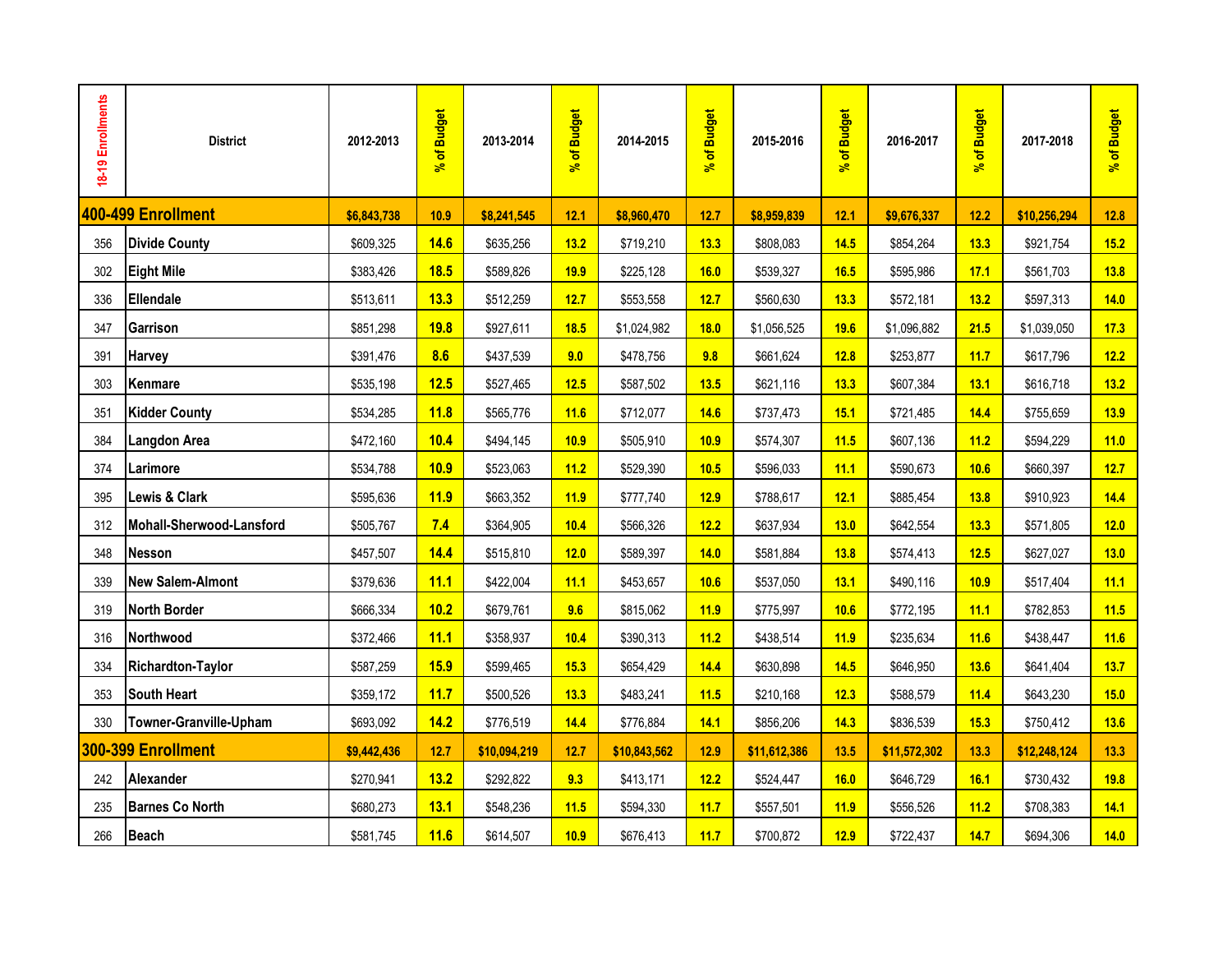| 18-19 Enrollments | <b>District</b>          | 2012-2013   | of Budget<br>$\mathbf{S}^{\mathbf{c}}$ | 2013-2014    | of Budget<br>$\mathbf{r}$ | 2014-2015    | of Budget<br>$\mathbf{r}$ | 2015-2016    | of Budget<br>$\overline{\mathcal{S}}$ | 2016-2017    | of Budget<br>ತ್ | 2017-2018    | % of Budget |
|-------------------|--------------------------|-------------|----------------------------------------|--------------|---------------------------|--------------|---------------------------|--------------|---------------------------------------|--------------|-----------------|--------------|-------------|
|                   | 400-499 Enrollment       | \$6,843,738 | 10.9                                   | \$8,241,545  | 12.1                      | \$8,960,470  | 12.7                      | \$8,959,839  | $12.1$                                | \$9,676,337  | 12.2            | \$10,256,294 | 12.8        |
| 356               | <b>Divide County</b>     | \$609,325   | 14.6                                   | \$635,256    | 13.2                      | \$719,210    | 13.3                      | \$808,083    | 14.5                                  | \$854,264    | 13.3            | \$921,754    | 15.2        |
| 302               | <b>Eight Mile</b>        | \$383,426   | 18.5                                   | \$589,826    | 19.9                      | \$225,128    | 16.0                      | \$539,327    | 16.5                                  | \$595,986    | 17.1            | \$561,703    | 13.8        |
| 336               | <b>Ellendale</b>         | \$513,611   | 13.3                                   | \$512,259    | 12.7                      | \$553,558    | 12.7                      | \$560,630    | 13.3                                  | \$572,181    | 13.2            | \$597,313    | 14.0        |
| 347               | Garrison                 | \$851,298   | 19.8                                   | \$927,611    | 18.5                      | \$1,024,982  | 18.0                      | \$1,056,525  | 19.6                                  | \$1,096,882  | 21.5            | \$1,039,050  | 17.3        |
| 391               | Harvey                   | \$391,476   | 8.6                                    | \$437,539    | 9.0                       | \$478,756    | 9.8                       | \$661,624    | 12.8                                  | \$253,877    | 11.7            | \$617,796    | 12.2        |
| 303               | Kenmare                  | \$535,198   | 12.5                                   | \$527,465    | 12.5                      | \$587,502    | 13.5                      | \$621,116    | 13.3                                  | \$607,384    | 13.1            | \$616,718    | 13.2        |
| 351               | <b>Kidder County</b>     | \$534,285   | 11.8                                   | \$565,776    | 11.6                      | \$712,077    | 14.6                      | \$737,473    | 15.1                                  | \$721,485    | 14.4            | \$755,659    | 13.9        |
| 384               | Langdon Area             | \$472,160   | 10.4                                   | \$494,145    | 10.9                      | \$505,910    | 10.9                      | \$574,307    | 11.5                                  | \$607,136    | 11.2            | \$594,229    | 11.0        |
| 374               | Larimore                 | \$534,788   | 10.9                                   | \$523,063    | 11.2                      | \$529,390    | 10.5                      | \$596,033    | 11.1                                  | \$590,673    | 10.6            | \$660,397    | 12.7        |
| 395               | Lewis & Clark            | \$595,636   | 11.9                                   | \$663,352    | 11.9                      | \$777,740    | 12.9                      | \$788,617    | 12.1                                  | \$885,454    | 13.8            | \$910,923    | 14.4        |
| 312               | Mohall-Sherwood-Lansford | \$505,767   | 7.4                                    | \$364,905    | 10.4                      | \$566,326    | 12.2                      | \$637,934    | 13.0                                  | \$642,554    | 13.3            | \$571,805    | 12.0        |
| 348               | <b>Nesson</b>            | \$457,507   | 14.4                                   | \$515,810    | 12.0                      | \$589,397    | 14.0                      | \$581,884    | 13.8                                  | \$574,413    | 12.5            | \$627,027    | 13.0        |
| 339               | <b>New Salem-Almont</b>  | \$379,636   | 11.1                                   | \$422,004    | 11.1                      | \$453,657    | 10.6                      | \$537,050    | 13.1                                  | \$490,116    | 10.9            | \$517,404    | 11.1        |
| 319               | <b>North Border</b>      | \$666,334   | 10.2                                   | \$679,761    | 9.6                       | \$815,062    | 11.9                      | \$775,997    | 10.6                                  | \$772,195    | 11.1            | \$782,853    | 11.5        |
| 316               | Northwood                | \$372,466   | 11.1                                   | \$358,937    | 10.4                      | \$390,313    | 11.2                      | \$438,514    | 11.9                                  | \$235,634    | 11.6            | \$438,447    | 11.6        |
| 334               | <b>Richardton-Taylor</b> | \$587,259   | 15.9                                   | \$599,465    | 15.3                      | \$654,429    | 14.4                      | \$630,898    | 14.5                                  | \$646,950    | 13.6            | \$641,404    | 13.7        |
| 353               | <b>South Heart</b>       | \$359,172   | 11.7                                   | \$500,526    | 13.3                      | \$483,241    | 11.5                      | \$210,168    | 12.3                                  | \$588,579    | 11.4            | \$643,230    | 15.0        |
| 330               | Towner-Granville-Upham   | \$693,092   | 14.2                                   | \$776,519    | 14.4                      | \$776,884    | 14.1                      | \$856,206    | 14.3                                  | \$836,539    | 15.3            | \$750,412    | 13.6        |
|                   | 300-399 Enrollment       | \$9,442,436 | 12.7                                   | \$10,094,219 | 12.7                      | \$10,843,562 | 12.9                      | \$11,612,386 | 13.5                                  | \$11,572,302 | 13.3            | \$12,248,124 | 13.3        |
| 242               | Alexander                | \$270,941   | 13.2                                   | \$292,822    | 9.3                       | \$413,171    | 12.2                      | \$524,447    | 16.0                                  | \$646,729    | 16.1            | \$730,432    | 19.8        |
| 235               | <b>Barnes Co North</b>   | \$680.273   | 13.1                                   | \$548,236    | 11.5                      | \$594,330    | 11.7                      | \$557,501    | 11.9                                  | \$556,526    | 11.2            | \$708,383    | 14.1        |
| 266               | Beach                    | \$581,745   | 11.6                                   | \$614,507    | 10.9                      | \$676,413    | 11.7                      | \$700,872    | 12.9                                  | \$722,437    | 14.7            | \$694,306    | 14.0        |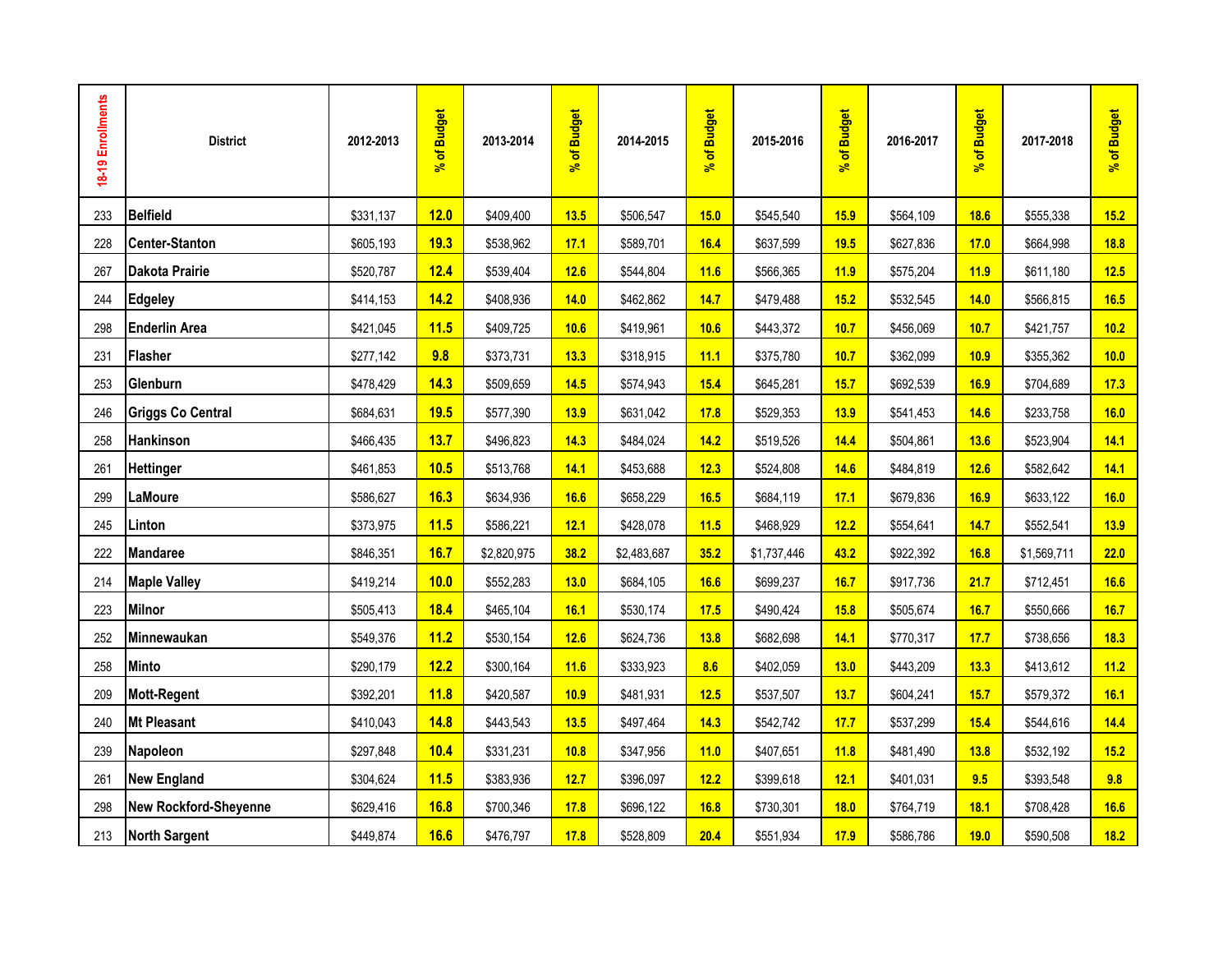| 18-19 Enrollments | <b>District</b>          | 2012-2013 | % of Budget | 2013-2014   | % of Budget | 2014-2015   | % of Budget | 2015-2016   | % of Budget | 2016-2017 | % of Budget | 2017-2018   | % of Budget |
|-------------------|--------------------------|-----------|-------------|-------------|-------------|-------------|-------------|-------------|-------------|-----------|-------------|-------------|-------------|
| 233               | <b>Belfield</b>          | \$331,137 | 12.0        | \$409,400   | 13.5        | \$506,547   | 15.0        | \$545,540   | 15.9        | \$564,109 | 18.6        | \$555,338   | 15.2        |
| 228               | Center-Stanton           | \$605,193 | 19.3        | \$538,962   | 17.1        | \$589,701   | 16.4        | \$637,599   | 19.5        | \$627,836 | 17.0        | \$664,998   | 18.8        |
| 267               | <b>Dakota Prairie</b>    | \$520,787 | 12.4        | \$539,404   | 12.6        | \$544,804   | 11.6        | \$566,365   | 11.9        | \$575,204 | 11.9        | \$611,180   | 12.5        |
| 244               | Edgeley                  | \$414,153 | 14.2        | \$408,936   | 14.0        | \$462,862   | 14.7        | \$479,488   | 15.2        | \$532,545 | 14.0        | \$566,815   | 16.5        |
| 298               | <b>Enderlin Area</b>     | \$421,045 | 11.5        | \$409,725   | 10.6        | \$419,961   | 10.6        | \$443,372   | 10.7        | \$456,069 | 10.7        | \$421,757   | 10.2        |
| 231               | Flasher                  | \$277,142 | 9.8         | \$373,731   | 13.3        | \$318,915   | 11.1        | \$375,780   | 10.7        | \$362,099 | 10.9        | \$355,362   | 10.0        |
| 253               | Glenburn                 | \$478,429 | 14.3        | \$509,659   | 14.5        | \$574,943   | 15.4        | \$645,281   | 15.7        | \$692,539 | 16.9        | \$704,689   | 17.3        |
| 246               | <b>Griggs Co Central</b> | \$684,631 | 19.5        | \$577,390   | 13.9        | \$631,042   | 17.8        | \$529,353   | 13.9        | \$541,453 | 14.6        | \$233,758   | 16.0        |
| 258               | <b>Hankinson</b>         | \$466,435 | 13.7        | \$496,823   | 14.3        | \$484,024   | 14.2        | \$519,526   | 14.4        | \$504,861 | 13.6        | \$523,904   | 14.1        |
| 261               | <b>Hettinger</b>         | \$461,853 | 10.5        | \$513,768   | 14.1        | \$453,688   | 12.3        | \$524,808   | 14.6        | \$484,819 | 12.6        | \$582,642   | 14.1        |
| 299               | LaMoure                  | \$586,627 | 16.3        | \$634,936   | 16.6        | \$658,229   | 16.5        | \$684,119   | 17.1        | \$679,836 | 16.9        | \$633,122   | 16.0        |
| 245               | Linton                   | \$373,975 | 11.5        | \$586,221   | 12.1        | \$428,078   | 11.5        | \$468,929   | 12.2        | \$554,641 | 14.7        | \$552,541   | 13.9        |
| 222               | <b>Mandaree</b>          | \$846,351 | 16.7        | \$2,820,975 | 38.2        | \$2,483,687 | 35.2        | \$1,737,446 | 43.2        | \$922,392 | 16.8        | \$1,569,711 | 22.0        |
| 214               | <b>Maple Valley</b>      | \$419,214 | 10.0        | \$552,283   | 13.0        | \$684,105   | 16.6        | \$699,237   | 16.7        | \$917,736 | 21.7        | \$712,451   | 16.6        |
| 223               | Milnor                   | \$505,413 | 18.4        | \$465,104   | 16.1        | \$530,174   | 17.5        | \$490,424   | 15.8        | \$505,674 | 16.7        | \$550,666   | 16.7        |
| 252               | Minnewaukan              | \$549,376 | 11.2        | \$530,154   | 12.6        | \$624,736   | 13.8        | \$682,698   | 14.1        | \$770,317 | 17.7        | \$738,656   | 18.3        |
| 258               | Minto                    | \$290,179 | 12.2        | \$300,164   | 11.6        | \$333,923   | 8.6         | \$402,059   | 13.0        | \$443,209 | 13.3        | \$413,612   | 11.2        |
| 209               | Mott-Regent              | \$392,201 | 11.8        | \$420,587   | 10.9        | \$481,931   | 12.5        | \$537,507   | 13.7        | \$604,241 | 15.7        | \$579,372   | 16.1        |
| 240               | Mt Pleasant              | \$410,043 | 14.8        | \$443,543   | 13.5        | \$497,464   | 14.3        | \$542,742   | 17.7        | \$537,299 | 15.4        | \$544,616   | 14.4        |
| 239               | Napoleon                 | \$297,848 | 10.4        | \$331,231   | 10.8        | \$347,956   | 11.0        | \$407,651   | 11.8        | \$481,490 | 13.8        | \$532,192   | 15.2        |
| 261               | <b>New England</b>       | \$304,624 | 11.5        | \$383,936   | 12.7        | \$396,097   | 12.2        | \$399,618   | 12.1        | \$401,031 | 9.5         | \$393,548   | 9.8         |
| 298               | New Rockford-Sheyenne    | \$629,416 | 16.8        | \$700,346   | 17.8        | \$696,122   | 16.8        | \$730,301   | 18.0        | \$764,719 | 18.1        | \$708,428   | 16.6        |
| 213               | <b>North Sargent</b>     | \$449,874 | 16.6        | \$476,797   | 17.8        | \$528,809   | 20.4        | \$551,934   | 17.9        | \$586,786 | 19.0        | \$590,508   | 18.2        |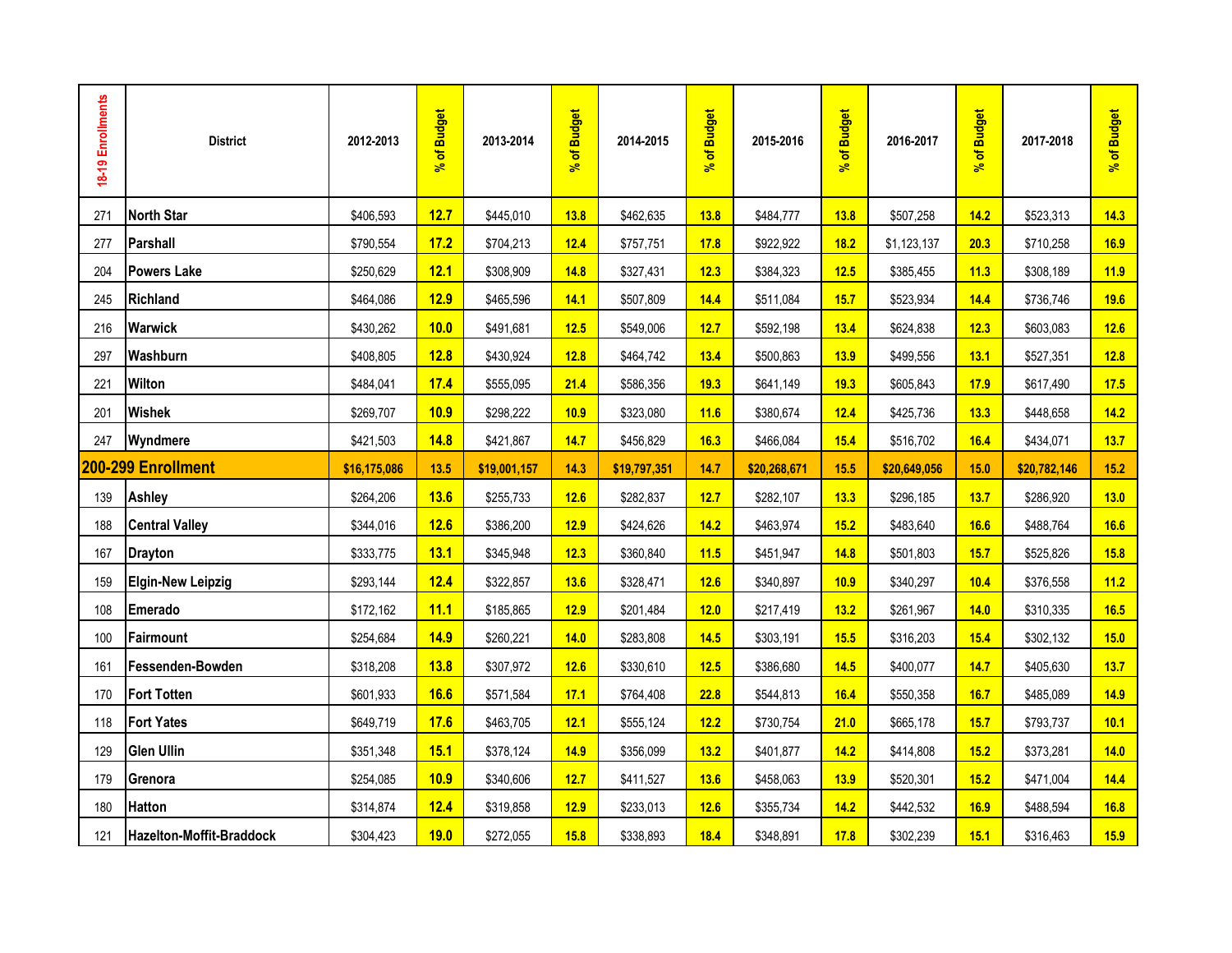| 18-19 Enrollments | <b>District</b>           | 2012-2013    | of Budget<br>ತ್ | 2013-2014    | of Budget<br>$\mathbf{r}_6$ | 2014-2015    | of Budget<br>$\mathbf{r}$ | 2015-2016    | % of Budget | 2016-2017    | of Budget<br>ತ್ | 2017-2018    | % of Budget |
|-------------------|---------------------------|--------------|-----------------|--------------|-----------------------------|--------------|---------------------------|--------------|-------------|--------------|-----------------|--------------|-------------|
| 271               | North Star                | \$406,593    | 12.7            | \$445,010    | 13.8                        | \$462,635    | 13.8                      | \$484,777    | 13.8        | \$507,258    | 14.2            | \$523,313    | 14.3        |
| 277               | Parshall                  | \$790,554    | 17.2            | \$704,213    | 12.4                        | \$757,751    | 17.8                      | \$922,922    | 18.2        | \$1,123,137  | 20.3            | \$710,258    | 16.9        |
| 204               | <b>Powers Lake</b>        | \$250,629    | 12.1            | \$308,909    | 14.8                        | \$327,431    | 12.3                      | \$384,323    | 12.5        | \$385,455    | 11.3            | \$308,189    | 11.9        |
| 245               | <b>Richland</b>           | \$464,086    | 12.9            | \$465,596    | 14.1                        | \$507,809    | 14.4                      | \$511,084    | 15.7        | \$523,934    | 14.4            | \$736,746    | 19.6        |
| 216               | <b>Warwick</b>            | \$430,262    | 10.0            | \$491,681    | 12.5                        | \$549,006    | 12.7                      | \$592,198    | 13.4        | \$624,838    | 12.3            | \$603,083    | 12.6        |
| 297               | Washburn                  | \$408,805    | 12.8            | \$430,924    | 12.8                        | \$464,742    | 13.4                      | \$500,863    | 13.9        | \$499,556    | 13.1            | \$527,351    | 12.8        |
| 221               | Wilton                    | \$484,041    | 17.4            | \$555,095    | 21.4                        | \$586,356    | 19.3                      | \$641,149    | 19.3        | \$605,843    | 17.9            | \$617,490    | 17.5        |
| 201               | <b>Wishek</b>             | \$269,707    | 10.9            | \$298,222    | 10.9                        | \$323,080    | 11.6                      | \$380,674    | 12.4        | \$425,736    | 13.3            | \$448,658    | 14.2        |
| 247               | Wyndmere                  | \$421,503    | 14.8            | \$421,867    | 14.7                        | \$456,829    | 16.3                      | \$466,084    | 15.4        | \$516,702    | 16.4            | \$434,071    | 13.7        |
|                   | 200-299 Enrollment        | \$16,175,086 | $13.5$          | \$19,001,157 | 14.3                        | \$19,797,351 | 14.7                      | \$20,268,671 | 15.5        | \$20,649,056 | 15.0            | \$20,782,146 | 15.2        |
| 139               | Ashley                    | \$264,206    | 13.6            | \$255,733    | 12.6                        | \$282,837    | 12.7                      | \$282,107    | 13.3        | \$296,185    | 13.7            | \$286,920    | 13.0        |
| 188               | <b>Central Valley</b>     | \$344,016    | 12.6            | \$386,200    | 12.9                        | \$424,626    | 14.2                      | \$463,974    | 15.2        | \$483,640    | 16.6            | \$488,764    | 16.6        |
| 167               | <b>Drayton</b>            | \$333,775    | 13.1            | \$345,948    | 12.3                        | \$360,840    | 11.5                      | \$451,947    | 14.8        | \$501,803    | 15.7            | \$525,826    | 15.8        |
| 159               | <b>Elgin-New Leipzig</b>  | \$293,144    | 12.4            | \$322,857    | 13.6                        | \$328,471    | 12.6                      | \$340,897    | 10.9        | \$340,297    | 10.4            | \$376,558    | 11.2        |
| 108               | Emerado                   | \$172,162    | 11.1            | \$185,865    | 12.9                        | \$201,484    | 12.0                      | \$217,419    | 13.2        | \$261,967    | 14.0            | \$310,335    | 16.5        |
| 100               | <b>Fairmount</b>          | \$254,684    | 14.9            | \$260,221    | 14.0                        | \$283,808    | 14.5                      | \$303,191    | 15.5        | \$316,203    | 15.4            | \$302,132    | 15.0        |
| 161               | Fessenden-Bowden          | \$318,208    | 13.8            | \$307,972    | 12.6                        | \$330,610    | 12.5                      | \$386,680    | 14.5        | \$400,077    | 14.7            | \$405,630    | 13.7        |
| 170               | <b>Fort Totten</b>        | \$601,933    | 16.6            | \$571,584    | 17.1                        | \$764,408    | 22.8                      | \$544,813    | 16.4        | \$550,358    | 16.7            | \$485,089    | 14.9        |
| 118               | <b>Fort Yates</b>         | \$649,719    | 17.6            | \$463,705    | 12.1                        | \$555,124    | 12.2                      | \$730,754    | 21.0        | \$665,178    | 15.7            | \$793,737    | 10.1        |
| 129               | <b>Glen Ullin</b>         | \$351,348    | 15.1            | \$378,124    | 14.9                        | \$356,099    | 13.2                      | \$401,877    | 14.2        | \$414,808    | 15.2            | \$373,281    | 14.0        |
| 179               | Grenora                   | \$254,085    | 10.9            | \$340,606    | 12.7                        | \$411,527    | 13.6                      | \$458,063    | 13.9        | \$520,301    | 15.2            | \$471,004    | 14.4        |
| 180               | <b>Hatton</b>             | \$314,874    | 12.4            | \$319,858    | 12.9                        | \$233,013    | 12.6                      | \$355,734    | 14.2        | \$442,532    | 16.9            | \$488,594    | 16.8        |
| 121               | lHazelton-Moffit-Braddock | \$304,423    | 19.0            | \$272,055    | 15.8                        | \$338,893    | 18.4                      | \$348,891    | 17.8        | \$302,239    | 15.1            | \$316,463    | 15.9        |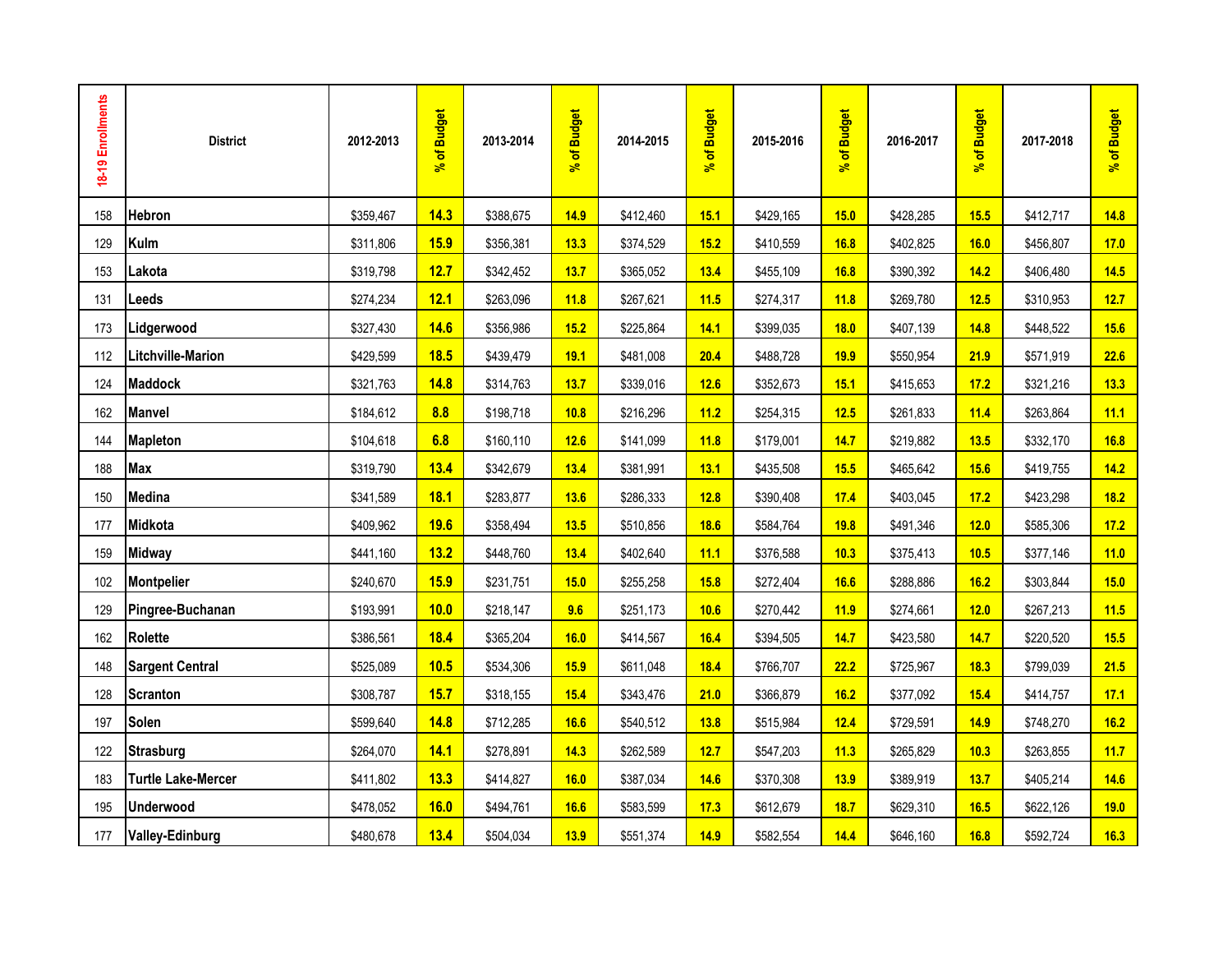| 18-19 Enrollments | <b>District</b>           | 2012-2013 | of Budget<br>$\mathbf{S}^{\mathbf{c}}$ | 2013-2014 | of Budget<br>$\overline{\mathcal{S}}$ | 2014-2015 | % of Budget | 2015-2016 | % of Budget | 2016-2017 | of Budget<br>$\mathbf{r}_6$ | 2017-2018 | % of Budget |
|-------------------|---------------------------|-----------|----------------------------------------|-----------|---------------------------------------|-----------|-------------|-----------|-------------|-----------|-----------------------------|-----------|-------------|
| 158               | <b>Hebron</b>             | \$359,467 | 14.3                                   | \$388,675 | 14.9                                  | \$412,460 | 15.1        | \$429,165 | 15.0        | \$428,285 | 15.5                        | \$412,717 | 14.8        |
| 129               | Kulm                      | \$311,806 | 15.9                                   | \$356,381 | 13.3                                  | \$374,529 | 15.2        | \$410,559 | 16.8        | \$402,825 | 16.0                        | \$456,807 | 17.0        |
| 153               | Lakota                    | \$319,798 | 12.7                                   | \$342,452 | 13.7                                  | \$365,052 | 13.4        | \$455,109 | 16.8        | \$390,392 | 14.2                        | \$406,480 | 14.5        |
| 131               | Leeds                     | \$274,234 | 12.1                                   | \$263,096 | 11.8                                  | \$267,621 | 11.5        | \$274,317 | 11.8        | \$269,780 | 12.5                        | \$310,953 | 12.7        |
| 173               | Lidgerwood                | \$327,430 | 14.6                                   | \$356,986 | 15.2                                  | \$225,864 | 14.1        | \$399,035 | 18.0        | \$407,139 | 14.8                        | \$448,522 | 15.6        |
| 112               | <b>Litchville-Marion</b>  | \$429,599 | 18.5                                   | \$439,479 | 19.1                                  | \$481,008 | 20.4        | \$488,728 | 19.9        | \$550,954 | 21.9                        | \$571,919 | 22.6        |
| 124               | <b>Maddock</b>            | \$321,763 | 14.8                                   | \$314,763 | 13.7                                  | \$339,016 | 12.6        | \$352,673 | 15.1        | \$415,653 | 17.2                        | \$321,216 | 13.3        |
| 162               | <b>Manvel</b>             | \$184,612 | 8.8                                    | \$198,718 | 10.8                                  | \$216,296 | 11.2        | \$254,315 | 12.5        | \$261,833 | 11.4                        | \$263,864 | 11.1        |
| 144               | <b>Mapleton</b>           | \$104,618 | 6.8                                    | \$160,110 | 12.6                                  | \$141,099 | 11.8        | \$179,001 | 14.7        | \$219,882 | 13.5                        | \$332,170 | 16.8        |
| 188               | <b>Max</b>                | \$319,790 | 13.4                                   | \$342,679 | 13.4                                  | \$381,991 | 13.1        | \$435,508 | 15.5        | \$465,642 | 15.6                        | \$419,755 | 14.2        |
| 150               | Medina                    | \$341,589 | 18.1                                   | \$283,877 | 13.6                                  | \$286,333 | 12.8        | \$390,408 | 17.4        | \$403,045 | 17.2                        | \$423,298 | 18.2        |
| 177               | Midkota                   | \$409,962 | 19.6                                   | \$358,494 | 13.5                                  | \$510,856 | 18.6        | \$584,764 | 19.8        | \$491,346 | 12.0                        | \$585,306 | 17.2        |
| 159               | <b>Midway</b>             | \$441,160 | 13.2                                   | \$448,760 | 13.4                                  | \$402,640 | 11.1        | \$376,588 | 10.3        | \$375,413 | 10.5                        | \$377,146 | 11.0        |
| 102               | <b>Montpelier</b>         | \$240,670 | 15.9                                   | \$231,751 | 15.0                                  | \$255,258 | 15.8        | \$272,404 | 16.6        | \$288,886 | 16.2                        | \$303,844 | 15.0        |
| 129               | Pingree-Buchanan          | \$193,991 | 10.0                                   | \$218,147 | 9.6                                   | \$251,173 | 10.6        | \$270,442 | 11.9        | \$274,661 | 12.0                        | \$267,213 | 11.5        |
| 162               | Rolette                   | \$386,561 | 18.4                                   | \$365,204 | 16.0                                  | \$414,567 | 16.4        | \$394,505 | 14.7        | \$423,580 | 14.7                        | \$220,520 | 15.5        |
| 148               | <b>Sargent Central</b>    | \$525,089 | 10.5                                   | \$534,306 | 15.9                                  | \$611,048 | 18.4        | \$766,707 | 22.2        | \$725,967 | 18.3                        | \$799,039 | 21.5        |
| 128               | <b>Scranton</b>           | \$308,787 | 15.7                                   | \$318,155 | 15.4                                  | \$343,476 | 21.0        | \$366,879 | 16.2        | \$377,092 | 15.4                        | \$414,757 | 17.1        |
| 197               | Solen                     | \$599,640 | 14.8                                   | \$712,285 | 16.6                                  | \$540,512 | 13.8        | \$515,984 | 12.4        | \$729,591 | 14.9                        | \$748,270 | 16.2        |
| 122               | <b>Strasburg</b>          | \$264,070 | 14.1                                   | \$278,891 | 14.3                                  | \$262,589 | 12.7        | \$547,203 | 11.3        | \$265,829 | 10.3                        | \$263,855 | 11.7        |
| 183               | <b>Turtle Lake-Mercer</b> | \$411,802 | 13.3                                   | \$414,827 | 16.0                                  | \$387,034 | 14.6        | \$370,308 | 13.9        | \$389,919 | 13.7                        | \$405,214 | 14.6        |
| 195               | <b>Underwood</b>          | \$478,052 | 16.0                                   | \$494,761 | 16.6                                  | \$583,599 | 17.3        | \$612,679 | 18.7        | \$629,310 | 16.5                        | \$622,126 | 19.0        |
| 177               | Valley-Edinburg           | \$480,678 | 13.4                                   | \$504,034 | 13.9                                  | \$551,374 | 14.9        | \$582,554 | 14.4        | \$646,160 | 16.8                        | \$592,724 | 16.3        |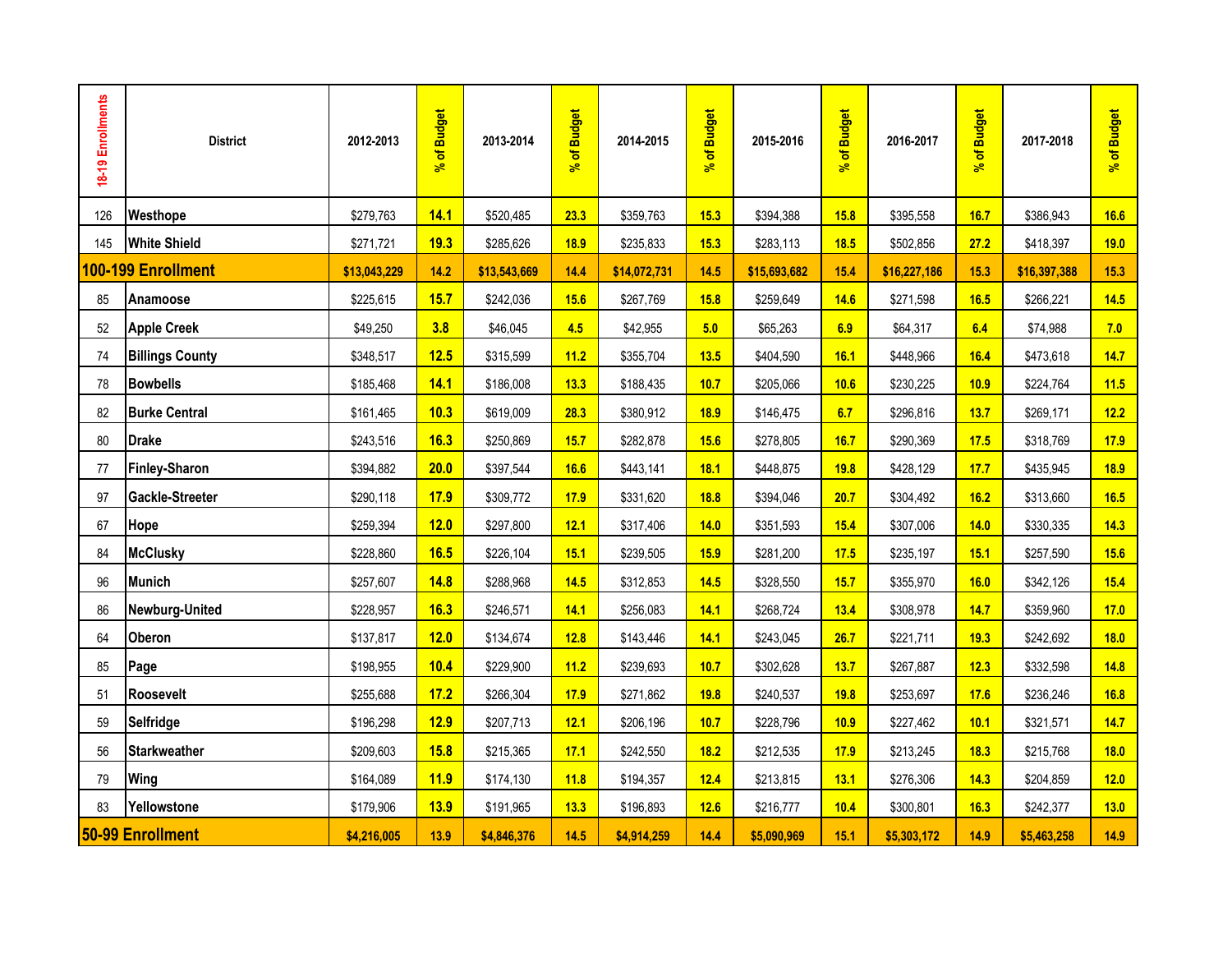| 18-19 Enrollments | <b>District</b>        | 2012-2013    | of Budget<br>$\mathbf{r}$ | 2013-2014    | of Budget<br>$\mathbf{r}_6$ | 2014-2015    | % of Budget | 2015-2016    | % of Budget | 2016-2017    | of Budget<br>ತ್ | 2017-2018    | % of Budget |
|-------------------|------------------------|--------------|---------------------------|--------------|-----------------------------|--------------|-------------|--------------|-------------|--------------|-----------------|--------------|-------------|
| 126               | Westhope               | \$279,763    | 14.1                      | \$520,485    | 23.3                        | \$359,763    | 15.3        | \$394,388    | 15.8        | \$395,558    | 16.7            | \$386,943    | 16.6        |
| 145               | <b>White Shield</b>    | \$271,721    | 19.3                      | \$285,626    | 18.9                        | \$235,833    | 15.3        | \$283,113    | 18.5        | \$502,856    | 27.2            | \$418,397    | 19.0        |
|                   | 100-199 Enrollment     | \$13,043,229 | 14.2                      | \$13,543,669 | 14.4                        | \$14,072,731 | 14.5        | \$15,693,682 | 15.4        | \$16,227,186 | 15.3            | \$16,397,388 | 15.3        |
| 85                | Anamoose               | \$225,615    | 15.7                      | \$242,036    | 15.6                        | \$267,769    | 15.8        | \$259,649    | 14.6        | \$271,598    | 16.5            | \$266,221    | 14.5        |
| 52                | <b>Apple Creek</b>     | \$49,250     | 3.8                       | \$46,045     | 4.5                         | \$42,955     | 5.0         | \$65,263     | 6.9         | \$64,317     | 6.4             | \$74,988     | 7.0         |
| 74                | <b>Billings County</b> | \$348,517    | 12.5                      | \$315,599    | 11.2                        | \$355,704    | 13.5        | \$404,590    | 16.1        | \$448,966    | 16.4            | \$473,618    | 14.7        |
| 78                | <b>Bowbells</b>        | \$185,468    | 14.1                      | \$186,008    | 13.3                        | \$188,435    | 10.7        | \$205,066    | 10.6        | \$230,225    | 10.9            | \$224,764    | 11.5        |
| 82                | <b>Burke Central</b>   | \$161,465    | 10.3                      | \$619,009    | 28.3                        | \$380,912    | 18.9        | \$146,475    | 6.7         | \$296,816    | 13.7            | \$269,171    | 12.2        |
| 80                | <b>Drake</b>           | \$243,516    | 16.3                      | \$250,869    | 15.7                        | \$282,878    | 15.6        | \$278,805    | 16.7        | \$290,369    | 17.5            | \$318,769    | 17.9        |
| 77                | Finley-Sharon          | \$394,882    | 20.0                      | \$397,544    | 16.6                        | \$443,141    | 18.1        | \$448,875    | 19.8        | \$428,129    | 17.7            | \$435,945    | 18.9        |
| 97                | Gackle-Streeter        | \$290,118    | 17.9                      | \$309,772    | 17.9                        | \$331,620    | 18.8        | \$394,046    | 20.7        | \$304,492    | 16.2            | \$313,660    | 16.5        |
| 67                | Hope                   | \$259,394    | 12.0                      | \$297,800    | 12.1                        | \$317,406    | 14.0        | \$351,593    | 15.4        | \$307,006    | 14.0            | \$330,335    | 14.3        |
| 84                | <b>McClusky</b>        | \$228,860    | 16.5                      | \$226,104    | 15.1                        | \$239,505    | 15.9        | \$281,200    | 17.5        | \$235,197    | 15.1            | \$257,590    | 15.6        |
| 96                | Munich                 | \$257,607    | 14.8                      | \$288,968    | 14.5                        | \$312,853    | 14.5        | \$328,550    | 15.7        | \$355,970    | 16.0            | \$342,126    | 15.4        |
| 86                | Newburg-United         | \$228,957    | 16.3                      | \$246,571    | 14.1                        | \$256,083    | 14.1        | \$268,724    | 13.4        | \$308,978    | 14.7            | \$359,960    | 17.0        |
| 64                | Oberon                 | \$137,817    | 12.0                      | \$134,674    | 12.8                        | \$143,446    | 14.1        | \$243,045    | 26.7        | \$221,711    | 19.3            | \$242,692    | 18.0        |
| 85                | Page                   | \$198,955    | 10.4                      | \$229,900    | 11.2                        | \$239,693    | 10.7        | \$302,628    | 13.7        | \$267,887    | 12.3            | \$332,598    | 14.8        |
| 51                | <b>Roosevelt</b>       | \$255,688    | 17.2                      | \$266,304    | 17.9                        | \$271,862    | 19.8        | \$240,537    | 19.8        | \$253,697    | 17.6            | \$236,246    | 16.8        |
| 59                | <b>Selfridge</b>       | \$196,298    | 12.9                      | \$207,713    | 12.1                        | \$206,196    | 10.7        | \$228,796    | 10.9        | \$227,462    | 10.1            | \$321,571    | 14.7        |
| 56                | Starkweather           | \$209,603    | 15.8                      | \$215,365    | 17.1                        | \$242,550    | 18.2        | \$212,535    | 17.9        | \$213,245    | 18.3            | \$215,768    | 18.0        |
| 79                | <b>Wing</b>            | \$164,089    | 11.9                      | \$174,130    | 11.8                        | \$194,357    | 12.4        | \$213,815    | 13.1        | \$276,306    | 14.3            | \$204,859    | 12.0        |
| 83                | Yellowstone            | \$179,906    | 13.9                      | \$191,965    | 13.3                        | \$196,893    | 12.6        | \$216,777    | 10.4        | \$300,801    | 16.3            | \$242,377    | 13.0        |
|                   | 50-99 Enrollment       | \$4,216,005  | 13.9                      | \$4,846,376  | 14.5                        | \$4,914,259  | 14.4        | \$5,090,969  | 15.1        | \$5,303,172  | 14.9            | \$5,463,258  | 14.9        |